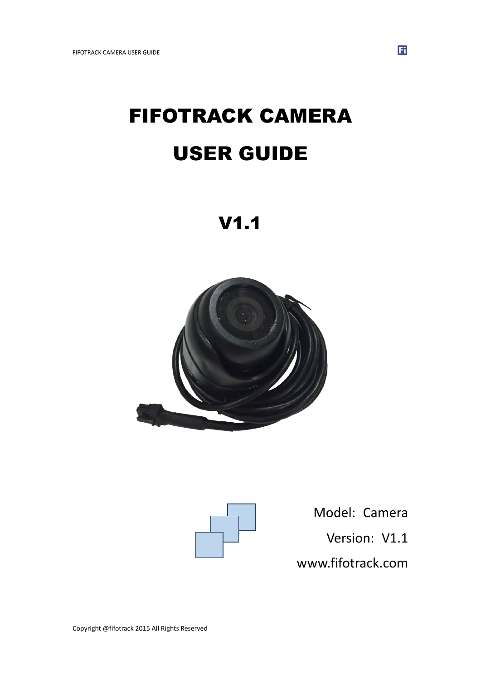# FIFOTRACK CAMERA USER GUIDE

V1.1





Model: Camera Version: V1.1

www.fifotrack.com

 $\mathbf{H}$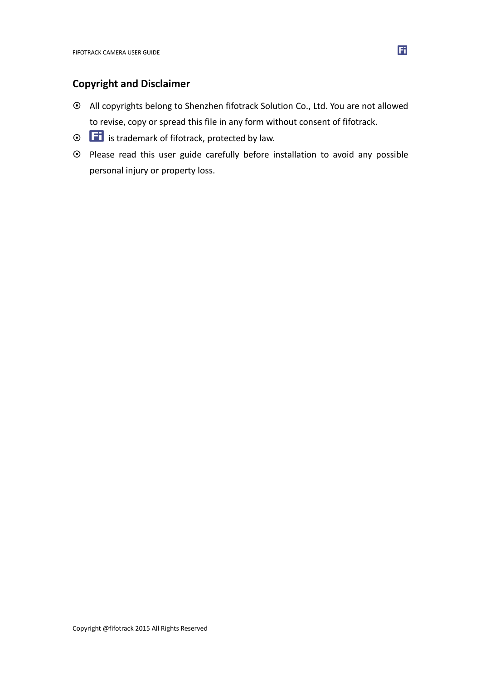## **Copyright and Disclaimer**

- All copyrights belong to Shenzhen fifotrack Solution Co., Ltd. You are not allowed to revise, copy or spread this file in any form without consent of fifotrack.
- $\odot$   $\Box$  is trademark of fifotrack, protected by law.
- Please read this user guide carefully before installation to avoid any possible personal injury or property loss.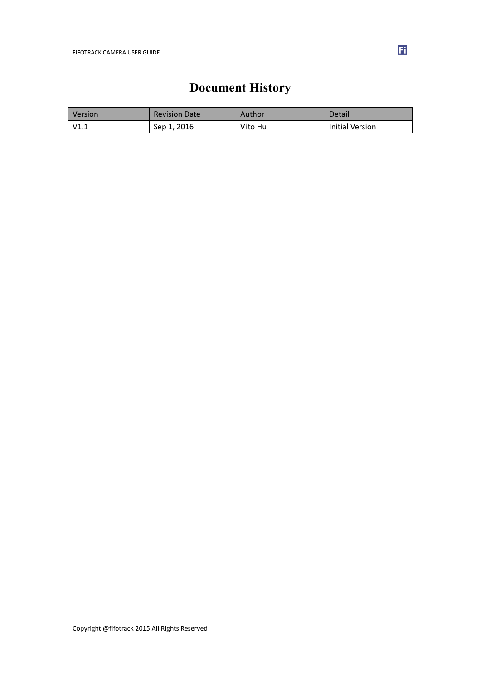## **Document History**

<span id="page-2-0"></span>

| <b>Version</b> | <b>Revision Date</b> | Author  | Detail          |
|----------------|----------------------|---------|-----------------|
| V1.1           | Sep 1, 2016          | Vito Hu | Initial Version |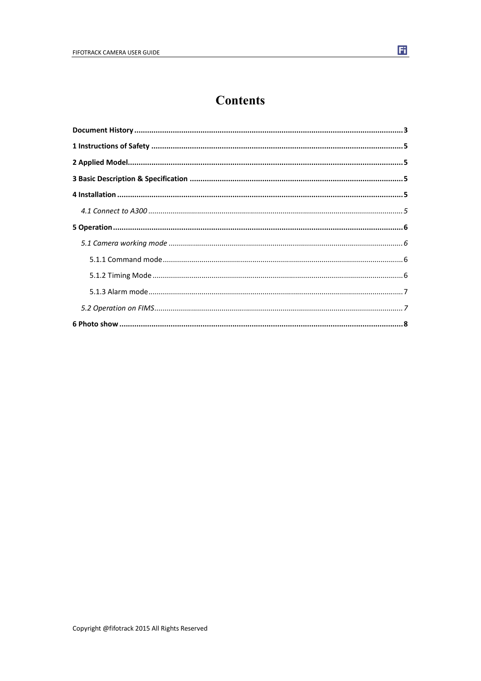## **Contents**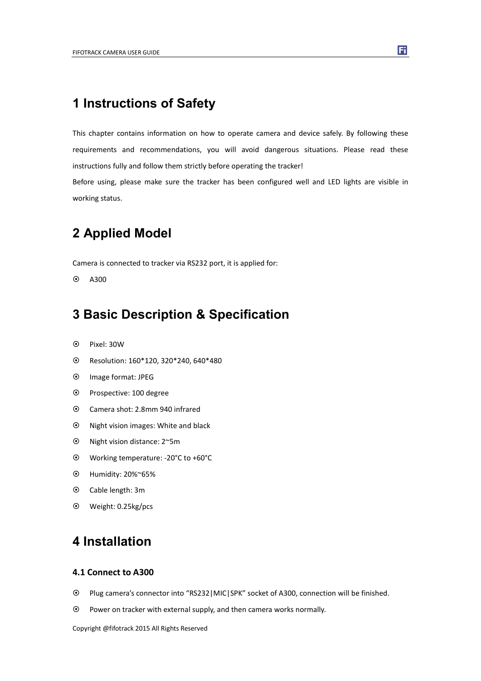## <span id="page-4-0"></span>**1 Instructions of Safety**

This chapter contains information on how to operate camera and device safely. By following these requirements and recommendations, you will avoid dangerous situations. Please read these instructions fully and follow them strictly before operating the tracker!

Before using, please make sure the tracker has been configured well and LED lights are visible in working status.

## **2 Applied Model**

Camera is connected to tracker via RS232 port, it is applied for:

 $\odot$  A300

## **3 Basic Description & Specification**

- Pixel: 30W
- Resolution: 160\*120, 320\*240, 640\*480
- Image format: JPEG
- Prospective: 100 degree
- Camera shot: 2.8mm 940 infrared
- $\odot$  Night vision images: White and black
- Night vision distance: 2~5m
- Working temperature: -20°C to +60°C
- Humidity: 20%~65%
- Cable length: 3m
- Weight: 0.25kg/pcs

## **4 Installation**

#### **4.1 Connect to A300**

- Plug camera's connector into "RS232|MIC|SPK" socket of A300, connection will be finished.
- Power on tracker with external supply, and then camera works normally.

Copyright @fifotrack 2015 All Rights Reserved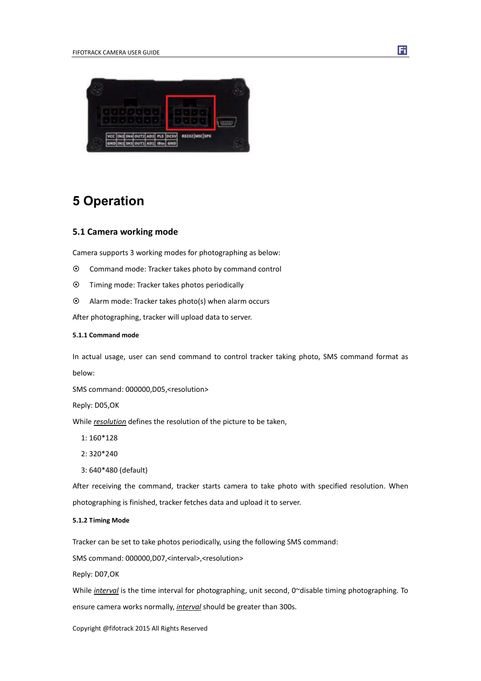<span id="page-5-0"></span>

## **5 Operation**

#### **5.1 Camera working mode**

Camera supports 3 working modes for photographing as below:

- Command mode: Tracker takes photo by command control
- Timing mode: Tracker takes photos periodically
- Alarm mode: Tracker takes photo(s) when alarm occurs

After photographing, tracker will upload data to server.

#### **5.1.1 Command mode**

In actual usage, user can send command to control tracker taking photo, SMS command format as below:

SMS command: 000000,D05,<resolution>

Reply: D05,OK

While *resolution* defines the resolution of the picture to be taken,

- 1: 160\*128
- 2: 320\*240
- 3: 640\*480 (default)

After receiving the command, tracker starts camera to take photo with specified resolution. When photographing is finished, tracker fetches data and upload it to server.

#### **5.1.2 Timing Mode**

Tracker can be set to take photos periodically, using the following SMS command:

SMS command: 000000,D07,<interval>,<resolution>

Reply: D07,OK

While *interval* is the time interval for photographing, unit second, 0~disable timing photographing. To ensure camera works normally, *interval* should be greater than 300s.

Copyright @fifotrack 2015 All Rights Reserved

Fi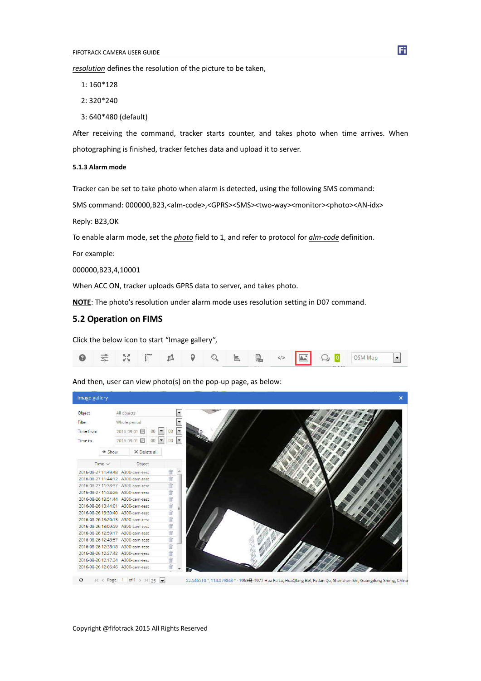<span id="page-6-0"></span>*resolution* defines the resolution of the picture to be taken,

1: 160\*128

- 2: 320\*240
- 3: 640\*480 (default)

After receiving the command, tracker starts counter, and takes photo when time arrives. When photographing is finished, tracker fetches data and upload it to server.

#### **5.1.3 Alarm mode**

Tracker can be set to take photo when alarm is detected, using the following SMS command:

SMS command: 000000,B23,<alm-code>,<GPRS><SMS><two-way><monitor><photo><AN-idx>

Reply: B23,OK

To enable alarm mode, set the *photo* field to 1, and refer to protocol for *alm-code* definition.

For example:

000000,B23,4,10001

When ACC ON, tracker uploads GPRS data to server, and takes photo.

**NOTE**: The photo's resolution under alarm mode uses resolution setting in D07 command.

#### **5.2 Operation on FIMS**

Click the below icon to start "Image gallery",



And then, user can view photo(s) on the pop-up page, as below:



Fi.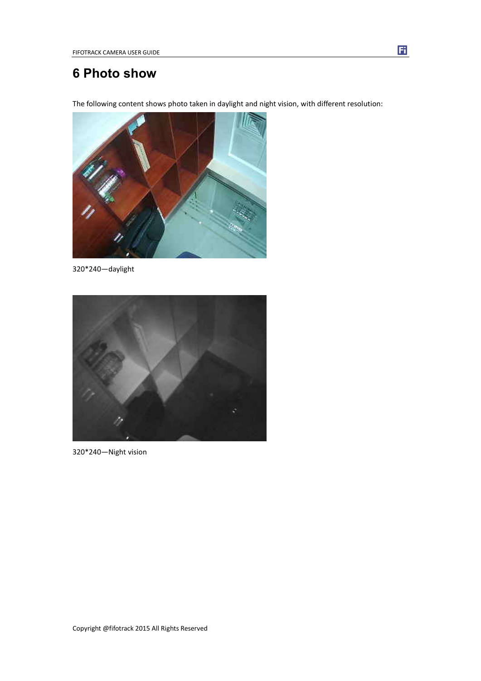## <span id="page-7-0"></span>**6 Photo show**

The following content shows photo taken in daylight and night vision, with different resolution:



320\*240—daylight



320\*240—Night vision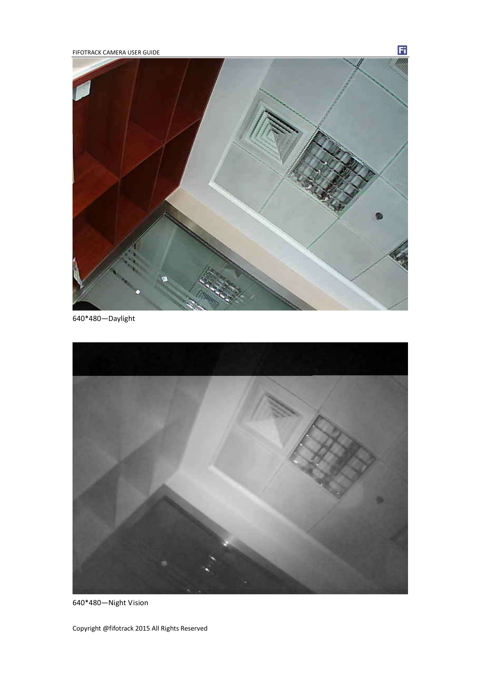FIFOTRACK CAMERA USER GUIDE



Ħ

640\*480—Daylight



640\*480—Night Vision

Copyright @fifotrack 2015 All Rights Reserved